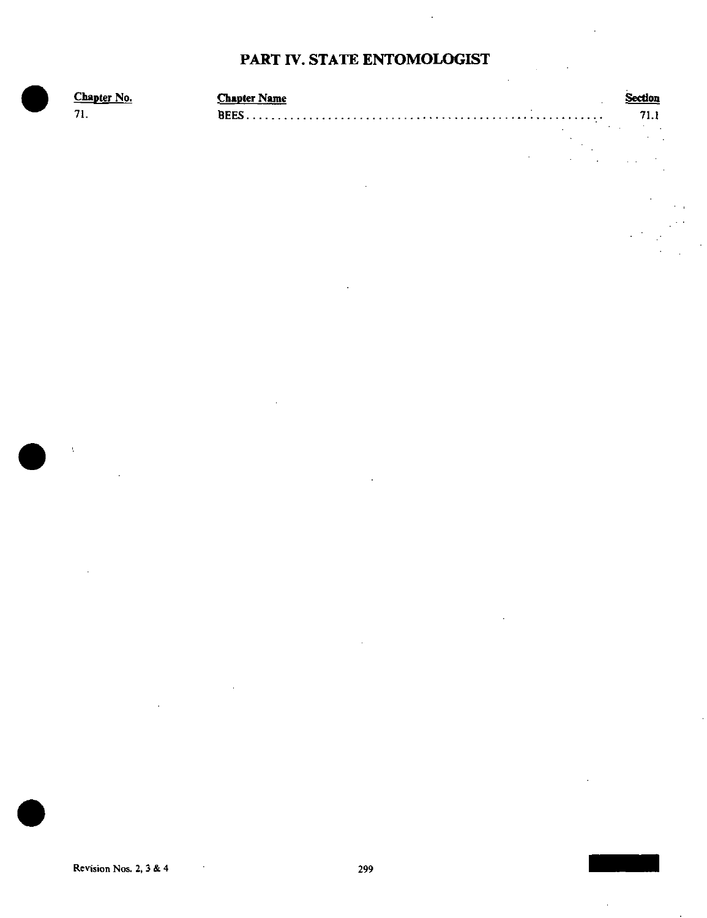# PART IV. STATE ENTOMOLOGIST

 $\mathbb{R}^2$ 

| Chapter No.                                                                                                                                                                                                                                                         | <b>Chapter Name</b>               | Section              |
|---------------------------------------------------------------------------------------------------------------------------------------------------------------------------------------------------------------------------------------------------------------------|-----------------------------------|----------------------|
| 71.                                                                                                                                                                                                                                                                 |                                   | 71.1                 |
|                                                                                                                                                                                                                                                                     |                                   | $\ddot{\phantom{a}}$ |
|                                                                                                                                                                                                                                                                     |                                   | $\sim$ $-$ .         |
|                                                                                                                                                                                                                                                                     |                                   |                      |
|                                                                                                                                                                                                                                                                     |                                   |                      |
|                                                                                                                                                                                                                                                                     |                                   |                      |
|                                                                                                                                                                                                                                                                     |                                   |                      |
|                                                                                                                                                                                                                                                                     |                                   |                      |
|                                                                                                                                                                                                                                                                     |                                   |                      |
|                                                                                                                                                                                                                                                                     |                                   |                      |
|                                                                                                                                                                                                                                                                     |                                   |                      |
|                                                                                                                                                                                                                                                                     |                                   |                      |
|                                                                                                                                                                                                                                                                     |                                   |                      |
|                                                                                                                                                                                                                                                                     |                                   |                      |
|                                                                                                                                                                                                                                                                     |                                   |                      |
|                                                                                                                                                                                                                                                                     |                                   |                      |
|                                                                                                                                                                                                                                                                     |                                   |                      |
|                                                                                                                                                                                                                                                                     |                                   |                      |
| $\mathbf{I}_i$                                                                                                                                                                                                                                                      |                                   |                      |
|                                                                                                                                                                                                                                                                     |                                   |                      |
|                                                                                                                                                                                                                                                                     |                                   |                      |
|                                                                                                                                                                                                                                                                     |                                   |                      |
|                                                                                                                                                                                                                                                                     |                                   |                      |
|                                                                                                                                                                                                                                                                     |                                   |                      |
|                                                                                                                                                                                                                                                                     |                                   |                      |
|                                                                                                                                                                                                                                                                     |                                   |                      |
|                                                                                                                                                                                                                                                                     |                                   |                      |
|                                                                                                                                                                                                                                                                     | $\langle \cdot \rangle$           |                      |
|                                                                                                                                                                                                                                                                     | and the control of                |                      |
|                                                                                                                                                                                                                                                                     |                                   |                      |
|                                                                                                                                                                                                                                                                     |                                   |                      |
|                                                                                                                                                                                                                                                                     | and the state of the state of the |                      |
| $\label{eq:2.1} \frac{1}{\sqrt{2}}\int_{\mathbb{R}^3}\frac{1}{\sqrt{2}}\left(\frac{1}{\sqrt{2}}\right)^2\frac{1}{\sqrt{2}}\left(\frac{1}{\sqrt{2}}\right)^2\frac{1}{\sqrt{2}}\left(\frac{1}{\sqrt{2}}\right)^2\frac{1}{\sqrt{2}}\left(\frac{1}{\sqrt{2}}\right)^2.$ |                                   |                      |
|                                                                                                                                                                                                                                                                     |                                   |                      |
|                                                                                                                                                                                                                                                                     |                                   |                      |
|                                                                                                                                                                                                                                                                     |                                   |                      |
|                                                                                                                                                                                                                                                                     |                                   | $\epsilon$           |
|                                                                                                                                                                                                                                                                     |                                   |                      |
|                                                                                                                                                                                                                                                                     |                                   |                      |
|                                                                                                                                                                                                                                                                     |                                   |                      |
|                                                                                                                                                                                                                                                                     |                                   |                      |
| Revision Nos. 2, 3 & 4                                                                                                                                                                                                                                              | 299<br>$\cdot$                    |                      |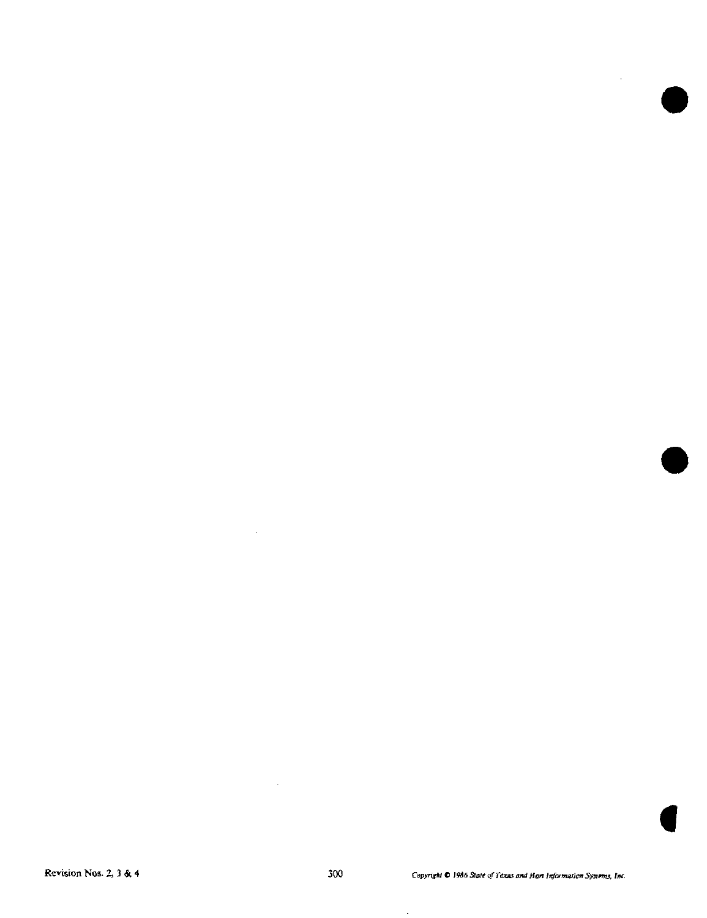$\sim$ 

 $\ddot{\phantom{a}}$ 

 $\sim$ 

 $\ddot{\phantom{a}}$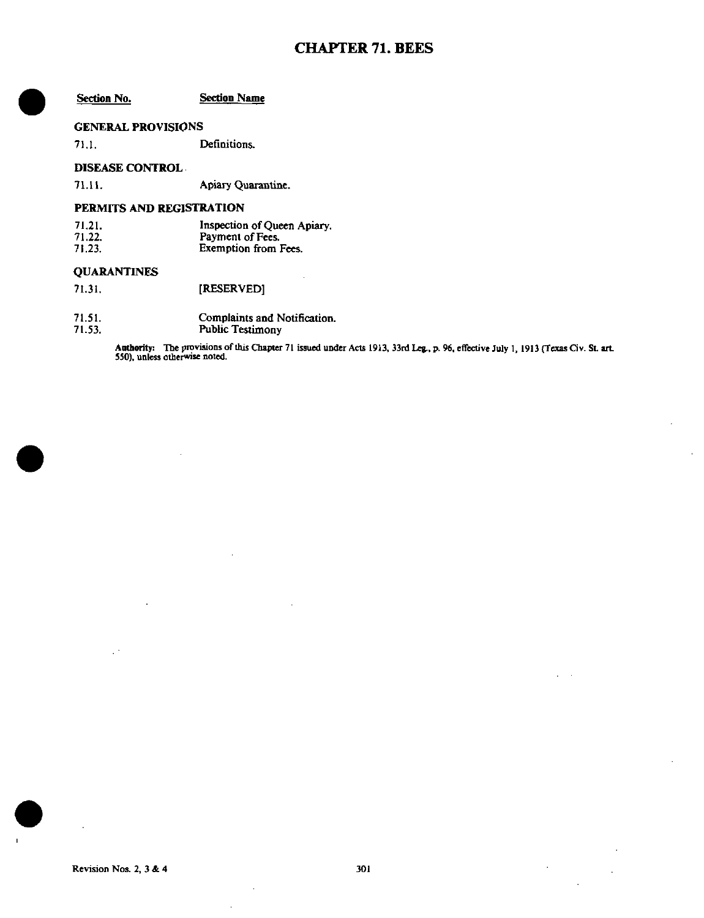# CHAPTER 71. BEES

# Section No. Section Name

### GENERAL PROVISIONS

71.1. Definitions.

### DISEASE CONTROL

71.11. Apiary Quarantine.

# PERMITS AND REGISTRATION

| 71.21. | Inspection of Queen Apiary. |
|--------|-----------------------------|
| 71.22. | Payment of Fees.            |
| 71.23. | Exemption from Fees.        |

## QUARANTINES

71.31. [RESERVED]

71.51. Complaints and Notification.<br>71.53. Public Testimony

Public Testimony

Antbority: The provisions of this Chapter 71 issued under Acts 1913, 33rd Leg., p. 96, effective July 1, 1913 {Texas Ov. St. art. 550). unless otherwise noted.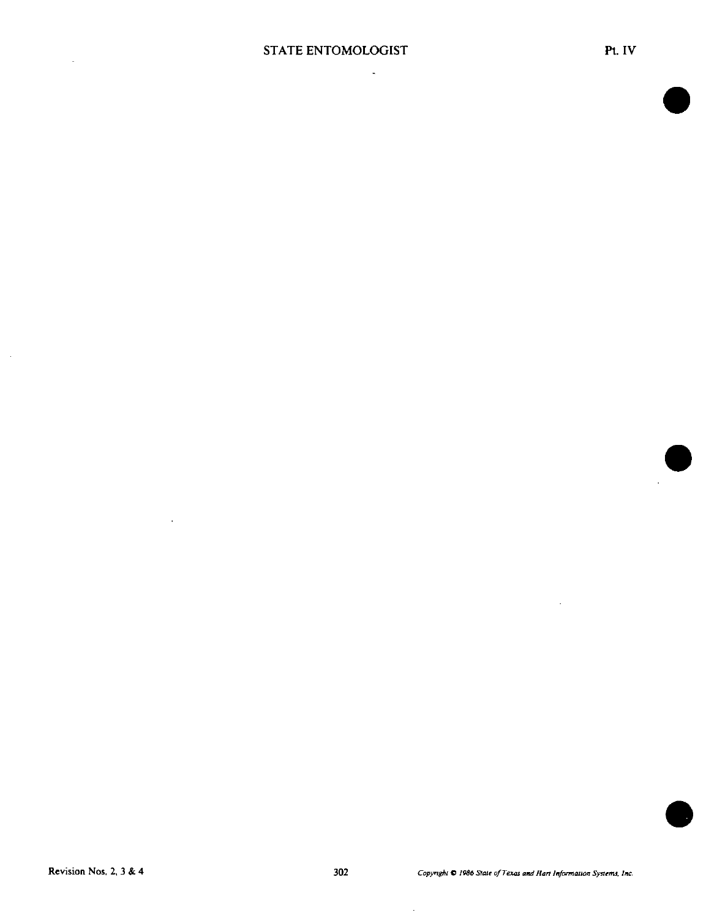# STATE ENTOMOLOGIST Pt. IV

 $\ddot{\phantom{a}}$ 

 $\overline{\phantom{a}}$ 

 $\hat{\mathcal{A}}$ 

 $\bar{z}$ 

 $\hat{\mathbf{r}}$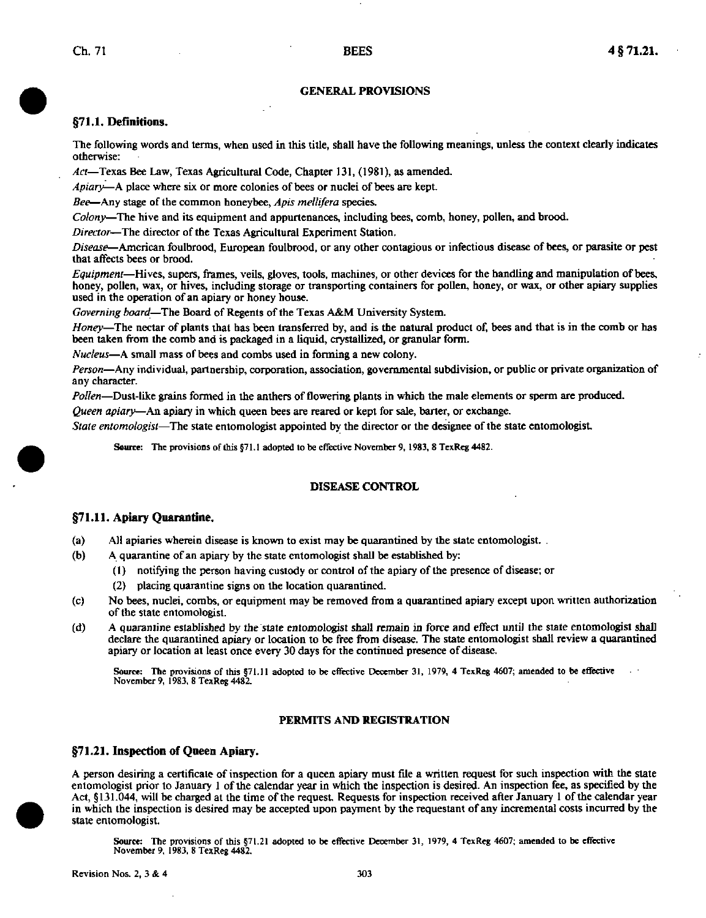### GENERAL PROVISIONS

### §71.1. Definitions.

The following words and terms, when used in this title, shall have the following meaning, unless the context clearly indicates otherwise:

Act-Texas Bee Law, Texas Agricultural Code, Chapter 131, (1981), as amended.

Apiary—A place where six or more colonies of bees or nuclei of bees are kept.

Bee—Any stage of the common honeybee. Apis mellifera species.

Colony—The hive and its equipment and appurtenances, including bees, comb, honey, pollen, and brood.

Director—The director of the Texas Agricultural Experiment Station.

Disease—American foulbrood, European foulbrood, or any other contagious or infectious disease of bees, or parasite or pest that affects bees or brood.

Equipmem—Hives, supers, frames, veils, gloves, tools, machines, or other devices for the handling and manipulation of bees, honey, pollen, wax, or hives, including storage or transporting containers for pollea, honey, or wax, or other apiary supplies used in the operation of an apiary or honey house.

Governing board—The Board of Regents of the Texas A&M University System.

Honey—The nectar of plants that has been transferred by, and is the natural product of, bees and that is in the comb or has been taken from the comb and is packaged in a liquid, crystallized, or granular form.

Nucleus—A small mass of bees and combs used in forming a new colony.

Person—Any individual, partnership, corporation, association, governmental subdivision, or public or private organization of any character.

Pollen—Dust-like grains formed in the anthers of flowering plants in which the male elements or sperm are produced.

Queen apiary—An apiary in which queen bees are reared or kept for sale, barter, or exchange.

State entomologist—The state entomologist appointed by the director or the designee of the state entomologist

Source: The provisions of this §71.1 adopted to be effective November 9, 1983, 8 TexReg 4482.

### DISEASE CONTROL

### §71.11. Apiary Quarantine.

- (a) . All apiaries wherein disease is known to exist may be quarantined by the state entomologist.
- (b) A quarantine of an apiary by the state entomologist shall be established by:
	- (1) notifying the person having custody or control of the apiary of the presence of disease; or
		- (2) placing quarantine signs on the location quarantined.
- (c) No bees, nuclei, combs, or equipment may be removed from a quarantined apiary except upon written authorization of the state entomologist.
- (d) A quarantine established by the state entomologist shall remain in force and effect until the state entomologist shall declare the quarantined apiary or location to be free from disease. The state entomologist shall review a quarantined apiary or location at least once every 30 days for the continued presence of disease.

Source: The provisions of this §71,11 adopted to be effective December 31, 1979, 4 TcxReg 4607; amended to be effective November 9, 1983, 8 TexReg 4482.

#### PERMITS AND REGISTRATION

### §71.21. Inspection of Qneen Apiary.

A person desiring a certificate of inspection for a queen apiary must file a written request for such inspection with the state entomologist prior to January 1 of the calendar year in which the inspection is desired. An inspection fee, as specified by the Act, §131.044, will be charged at the time of the request. Requests for inspection received after January 1 of the calendar year in which the inspection is desired may be accepted upon payment by the requestant of any incremental costs incurred by the state entomologist.

Source: The provisions of this §71.21 adopted to be effective December 31, 1979, 4 TexReg 4607; amended to be effective November 9, 1983. 8 TexReg 4482.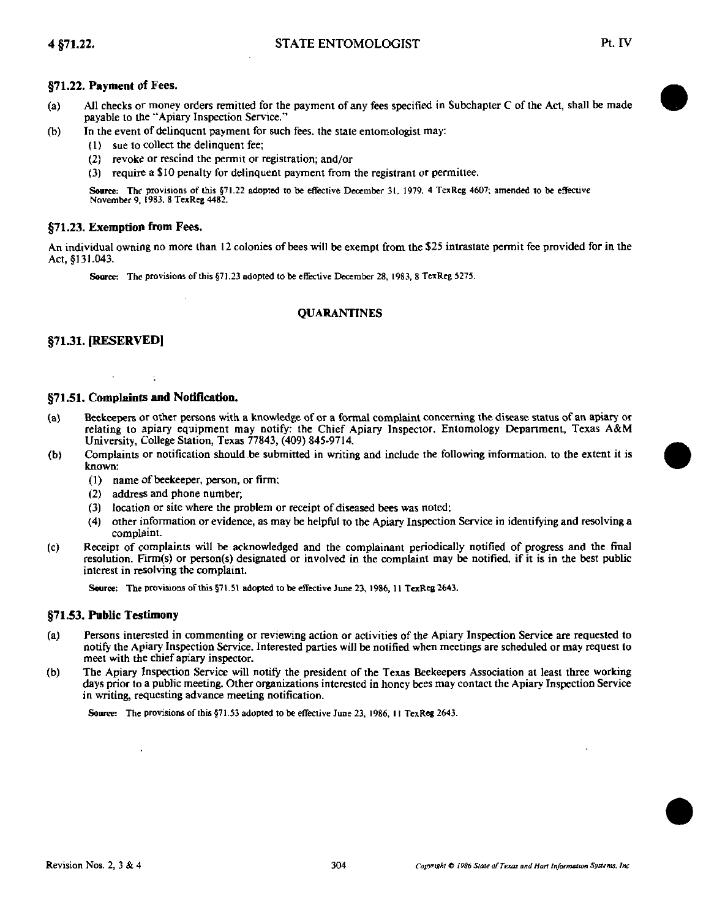### §71.22. Payment of Fees.

- (a) Ail checks or money orders remitted for the payment of any fees specified in Subchapter C of the Act, shall be made payable to the "Apiary Inspection Service."
- (b) In the event of delinquent payment for such fees, the state entomologist may:
	- (1) sue to collect the delinquent fee;
		- (2) revoke or rescind the permit or registration; and/or
		- (3) require a \$10 penalty for delinquent payment from the registrant or permittee.

Source: The provisions of this §71.22 adopted to be effective December 31, 1979, 4 TexReg 4607; amended to be effective November 9. 1983, 8 TexReg 4482.

### §71.23. Exemption from Fees.

An individual owning no more than 12 colonies of bees will be exempt from the \$25 intrastate permit fee provided for in the Act, §131.043.

Source: The provisions of this §71.23 adopted to be effective December 28, 1983, 8 TexReg 5275.

### QUARANTINES

### §71.31. (RESERVED]

### §71.51. Complaints and Notification.

 $\pm$ 

- (a) Beekeepers or other persons with a knowledge of or a formal complaint concerning the disease status of an apiary or relating to apiary equipment may notify: the Chief Apiarv Inspector. Entomology Department, Texas A&M University, College Station, Texas 77843, (409) 845-9714,
- (b) Complaints or notification [should.be s](http://should.be)ubmitted in writing and include the following information, to the extent it is known:
	- (1) name of beekeeper, person, or firm;
	- (2) address and phone number;
	- (3) location or site where the problem or receipt of diseased bees was noted;
	- (4) other information or evidence, as may be helpful to the Apiary Inspection Service in identifying and resolving a complaint.
- (c) Receipt of complaints will be acknowledged and the complainant periodically notified of progress and the final resolution. Firm(s) or person(s) designated or involved in the complaint may be notified, if it is in the best public interest in resolving the complaint.

Source: The provisions of this §71.51 adopted to be effective June 23, 1986, 11 TexReg 2643.

### §71.53. Public Testimony

- (a) Persons interested in commenting or reviewing action or activities of the Apiary Inspection Service are requested to notify the Apiary Inspection Service. Interested parties will be notified when meetings are scheduled or may request to meet with the chief apiary inspector.
- (b) The Apiary Inspection Service will notify the president of the Texas Beekeepers Association at least three working days prior to a public meeting. Other organizations interested in honey bees may contact the Apiary Inspection Service in writing, requesting advance meeting notification,

Source: The provisions of this §71.53 adopted to be effective June 23, 1986, 11 TexReg 2643.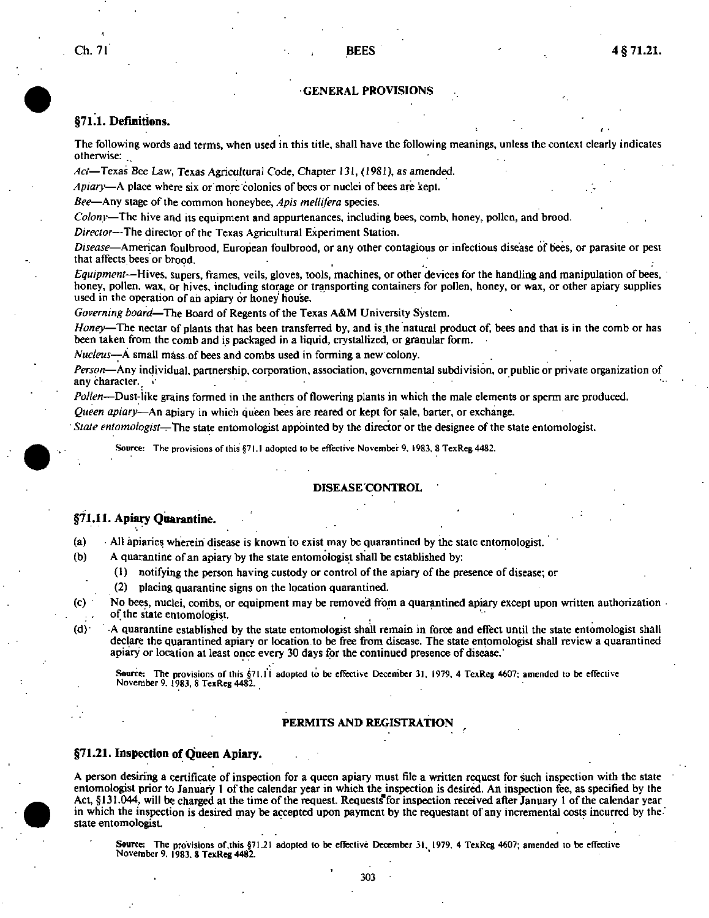### GENERAL PROVISIONS

### §71.1. Definitions.

The following words and terms, when used in this title, shall have the following meanings, unless the context clearly indicates otherwise:

Acl—Texas Bee Law, Texas Agricultural Code, Chapter 131, (1981), as amended.

Apiary—A place where six or more colonies of bees or nuclei of bees are kept.

Bee—Any stage of the common honeybee. Apis mellifera species.

 $Colony$ —The hive and its equipment and appurtenances, including bees, comb, honey, pollen, and brood.

Director—The director of the Texas Agricultural Experiment Station.

Disease—American foulbrood, European foulbrood, or any other contagious or infectious disease oif bees, or parasite or pest that affects bees or brood.

Equipment—Hives, supers, frames, veils, gloves, tools, machines, or other devices for the handling and manipulation of bees, honey, pollen, wax, or hives, including storage or transporting containers for pollen, honey, or wax, or other apiary supplies used in the operation of ah apiary or honey' house.

Governing board—The Board of Regents of the Texas A&M University System.

Honey—The nectar of plants that has been transferred by, and is the natural product of, bees and that is in the comb or has been taken from the comb and is packaged in a liquid, crystallized, or granular form.

Nucleus—A small mass of bees and combs used in forming a new colony.

Person—Any individual, partnership, corporation, association, governmental subdivision, or public or private organization of any character.

Pollen—Dust-like grains formed in the anthers of flowering plants in which the male elements or sperm are produced.

Queen apiary—An apiary in which queen bees are reared or kept for sale, barter, or exchange.

State entomologist-The state entomologist appointed by the director or the designee of the state entomologist.

Source: The provisions of this §71.1 adopted to be effective November 9, 1983, 8 TexReg 4482.

#### DISEASE CONTROL

### §71.11. Apiary Quarantine.

(a) Alt apiaries wherein disease is known to exist may be quarantined by the slate entomologist.

(b) A quarantine of an apiary by the state entomologist shall be established by:

- (1) notifying the person having custody or control of the apiary of the presence of disease; or
	- (2) placing quarantine signs on the location quarantined.
- $(c)$  No bees, nuclei, combs, or equipment may be removed from a quarantined apiary except upon written authorization of the state entomologist.
- (d) A quarantine established by the state entomologist shall remain in force and effect until the state entomologist shall declare the quarantined apiary or location to be free from disease. The state entomologist shall review a quarantined apiary or location at least once every 30 days for the continued presence of disease.'

Source: The provisions of this §71.11 adopted to be effective December 31, 1979, 4 TexReg 4607; amended to be effective November 9. 1983, 8 TexReg 4482.

#### PERMITS AND REGISTRATION

#### §71.21. Inspection of Queen Apiary.

A person desiring a certificate of inspection for a queen apiary must file a written request for such inspection with the state entomologist prior to January 1 of the calendar year in which the inspection is desired. An inspection fee, as specified by the Act, §131.044, will be charged at the time of the request. Requests for inspection received after January 1 of the calendar year in which the inspection is desired may be accepted upon payment by the requestant of any incremental costs incurred by the state entomologist.

Source: The provisions of this §71.21 adopted to be effective December 31, 1979. 4 TexReg 4607; amended to be effective November 9. 1983, 8 TexReg 4482.